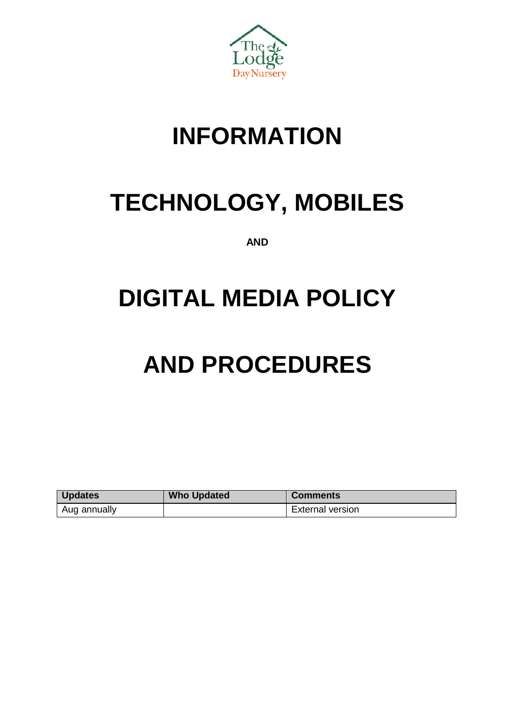

# **INFORMATION**

# **TECHNOLOGY, MOBILES**

**AND**

# **DIGITAL MEDIA POLICY**

# **AND PROCEDURES**

| <b>Updates</b> | <b>Who Updated</b> | <b>Comments</b>         |
|----------------|--------------------|-------------------------|
| Aug annually   |                    | <b>External version</b> |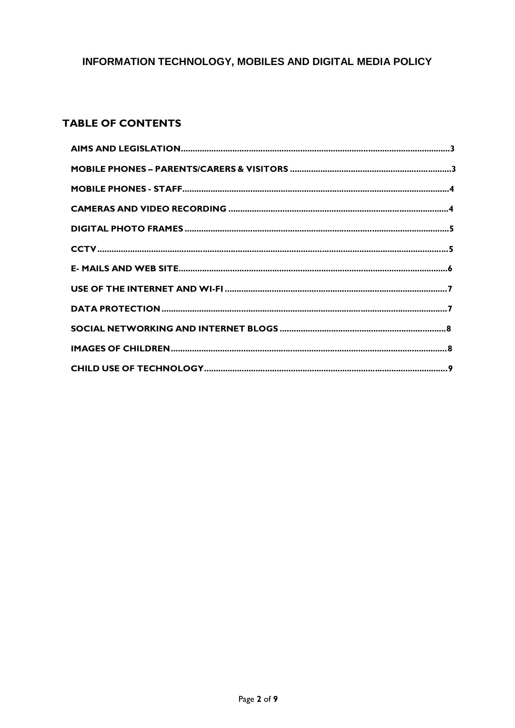# **TABLE OF CONTENTS**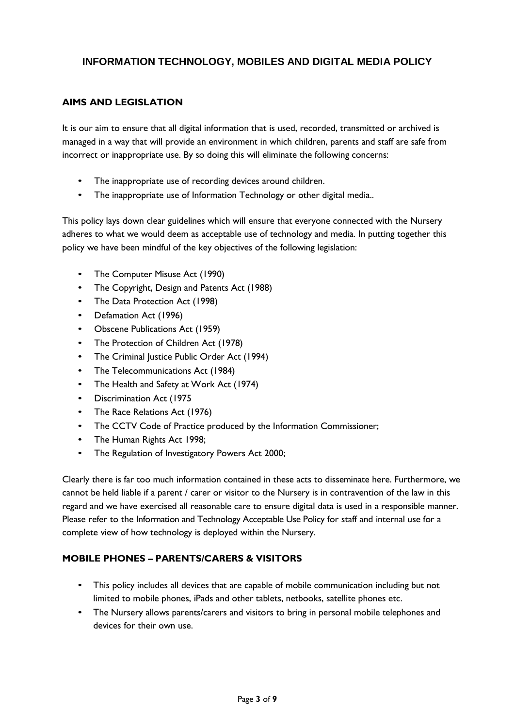#### **AIMS AND LEGISLATION**

It is our aim to ensure that all digital information that is used, recorded, transmitted or archived is managed in a way that will provide an environment in which children, parents and staff are safe from incorrect or inappropriate use. By so doing this will eliminate the following concerns:

- The inappropriate use of recording devices around children.
- The inappropriate use of Information Technology or other digital media..

This policy lays down clear guidelines which will ensure that everyone connected with the Nursery adheres to what we would deem as acceptable use of technology and media. In putting together this policy we have been mindful of the key objectives of the following legislation:

- The Computer Misuse Act (1990)
- The Copyright, Design and Patents Act (1988)
- The Data Protection Act (1998)
- Defamation Act (1996)
- Obscene Publications Act (1959)
- The Protection of Children Act (1978)
- The Criminal Justice Public Order Act (1994)
- The Telecommunications Act (1984)
- The Health and Safety at Work Act (1974)
- Discrimination Act (1975
- The Race Relations Act (1976)
- The CCTV Code of Practice produced by the Information Commissioner;
- The Human Rights Act 1998;
- The Regulation of Investigatory Powers Act 2000;

Clearly there is far too much information contained in these acts to disseminate here. Furthermore, we cannot be held liable if a parent / carer or visitor to the Nursery is in contravention of the law in this regard and we have exercised all reasonable care to ensure digital data is used in a responsible manner. Please refer to the Information and Technology Acceptable Use Policy for staff and internal use for a complete view of how technology is deployed within the Nursery.

#### **MOBILE PHONES – PARENTS/CARERS & VISITORS**

- This policy includes all devices that are capable of mobile communication including but not limited to mobile phones, iPads and other tablets, netbooks, satellite phones etc.
- The Nursery allows parents/carers and visitors to bring in personal mobile telephones and devices for their own use.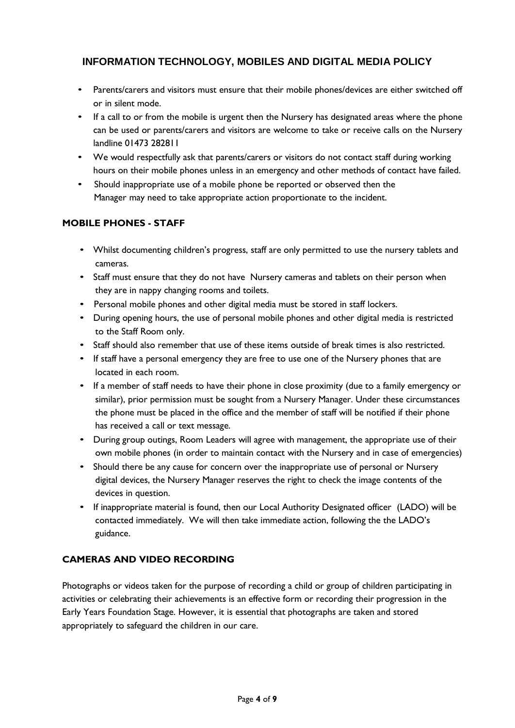- Parents/carers and visitors must ensure that their mobile phones/devices are either switched off or in silent mode.
- If a call to or from the mobile is urgent then the Nursery has designated areas where the phone can be used or parents/carers and visitors are welcome to take or receive calls on the Nursery landline 01473 282811
- We would respectfully ask that parents/carers or visitors do not contact staff during working hours on their mobile phones unless in an emergency and other methods of contact have failed.
- Should inappropriate use of a mobile phone be reported or observed then the Manager may need to take appropriate action proportionate to the incident.

#### **MOBILE PHONES - STAFF**

- Whilst documenting children's progress, staff are only permitted to use the nursery tablets and cameras.
- Staff must ensure that they do not have Nursery cameras and tablets on their person when they are in nappy changing rooms and toilets.
- Personal mobile phones and other digital media must be stored in staff lockers.
- During opening hours, the use of personal mobile phones and other digital media is restricted to the Staff Room only.
- Staff should also remember that use of these items outside of break times is also restricted.
- If staff have a personal emergency they are free to use one of the Nursery phones that are located in each room.
- If a member of staff needs to have their phone in close proximity (due to a family emergency or similar), prior permission must be sought from a Nursery Manager. Under these circumstances the phone must be placed in the office and the member of staff will be notified if their phone has received a call or text message.
- During group outings, Room Leaders will agree with management, the appropriate use of their own mobile phones (in order to maintain contact with the Nursery and in case of emergencies)
- Should there be any cause for concern over the inappropriate use of personal or Nursery digital devices, the Nursery Manager reserves the right to check the image contents of the devices in question.
- If inappropriate material is found, then our Local Authority Designated officer (LADO) will be contacted immediately. We will then take immediate action, following the the LADO's guidance.

#### **CAMERAS AND VIDEO RECORDING**

Photographs or videos taken for the purpose of recording a child or group of children participating in activities or celebrating their achievements is an effective form or recording their progression in the Early Years Foundation Stage. However, it is essential that photographs are taken and stored appropriately to safeguard the children in our care.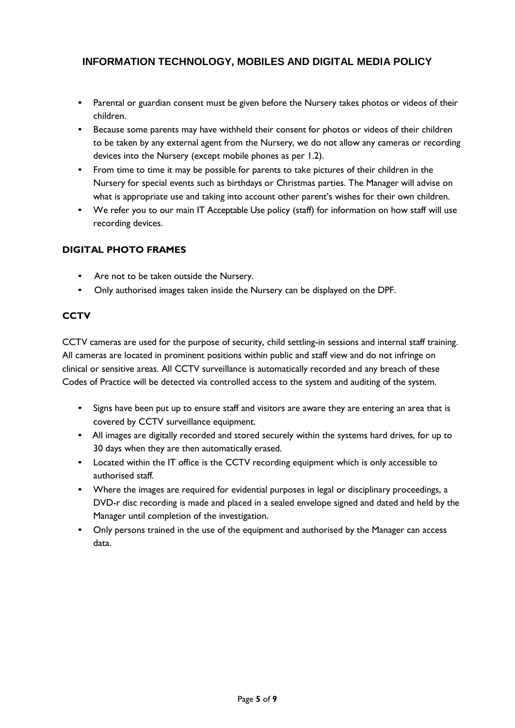- Parental or guardian consent must be given before the Nursery takes photos or videos of their children.
- Because some parents may have withheld their consent for photos or videos of their children to be taken by any external agent from the Nursery, we do not allow any cameras or recording devices into the Nursery (except mobile phones as per 1.2).
- From time to time it may be possible for parents to take pictures of their children in the Nursery for special events such as birthdays or Christmas parties. The Manager will advise on what is appropriate use and taking into account other parent's wishes for their own children.
- We refer you to our main IT Acceptable Use policy (staff) for information on how staff will use recording devices.

#### **DIGITAL PHOTO FRAMES**

- Are not to be taken outside the Nursery.
- Only authorised images taken inside the Nursery can be displayed on the DPF.

## **CCTV**

CCTV cameras are used for the purpose of security, child settling-in sessions and internal staff training. All cameras are located in prominent positions within public and staff view and do not infringe on clinical or sensitive areas. All CCTV surveillance is automatically recorded and any breach of these Codes of Practice will be detected via controlled access to the system and auditing of the system.

- Signs have been put up to ensure staff and visitors are aware they are entering an area that is covered by CCTV surveillance equipment.
- All images are digitally recorded and stored securely within the systems hard drives, for up to 30 days when they are then automatically erased.
- Located within the IT office is the CCTV recording equipment which is only accessible to authorised staff.
- Where the images are required for evidential purposes in legal or disciplinary proceedings, a DVD-r disc recording is made and placed in a sealed envelope signed and dated and held by the Manager until completion of the investigation.
- Only persons trained in the use of the equipment and authorised by the Manager can access data.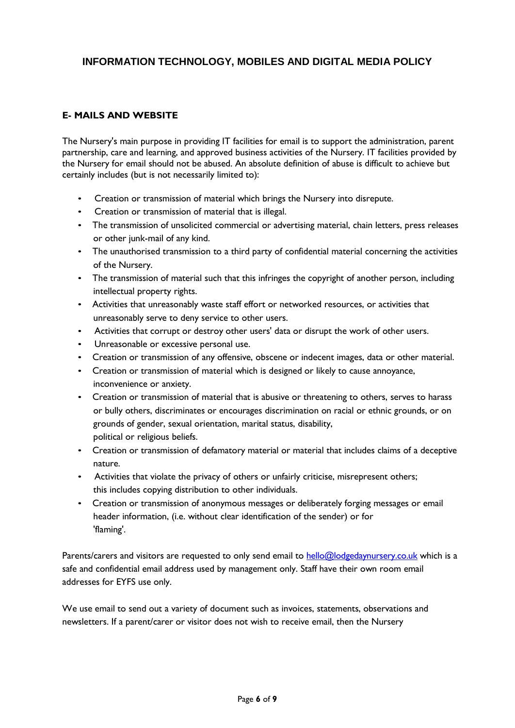#### **E- MAILS AND WEBSITE**

The Nursery's main purpose in providing IT facilities for email is to support the administration, parent partnership, care and learning, and approved business activities of the Nursery. IT facilities provided by the Nursery for email should not be abused. An absolute definition of abuse is difficult to achieve but certainly includes (but is not necessarily limited to):

- Creation or transmission of material which brings the Nursery into disrepute.
- Creation or transmission of material that is illegal.
- The transmission of unsolicited commercial or advertising material, chain letters, press releases or other junk-mail of any kind.
- The unauthorised transmission to a third party of confidential material concerning the activities of the Nursery.
- The transmission of material such that this infringes the copyright of another person, including intellectual property rights.
- Activities that unreasonably waste staff effort or networked resources, or activities that unreasonably serve to deny service to other users.
- Activities that corrupt or destroy other users' data or disrupt the work of other users.
- Unreasonable or excessive personal use.
- Creation or transmission of any offensive, obscene or indecent images, data or other material.
- Creation or transmission of material which is designed or likely to cause annoyance, inconvenience or anxiety.
- Creation or transmission of material that is abusive or threatening to others, serves to harass or bully others, discriminates or encourages discrimination on racial or ethnic grounds, or on grounds of gender, sexual orientation, marital status, disability, political or religious beliefs.
- Creation or transmission of defamatory material or material that includes claims of a deceptive nature.
- Activities that violate the privacy of others or unfairly criticise, misrepresent others; this includes copying distribution to other individuals.
- Creation or transmission of anonymous messages or deliberately forging messages or email header information, (i.e. without clear identification of the sender) or for 'flaming'.

Parents/carers and visitors are requested to only send email to [hello@lodgedaynursery.co.uk](mailto:hello@lodgedaynursery.co.uk) which is a safe and confidential email address used by management only. Staff have their own room email addresses for EYFS use only.

We use email to send out a variety of document such as invoices, statements, observations and newsletters. If a parent/carer or visitor does not wish to receive email, then the Nursery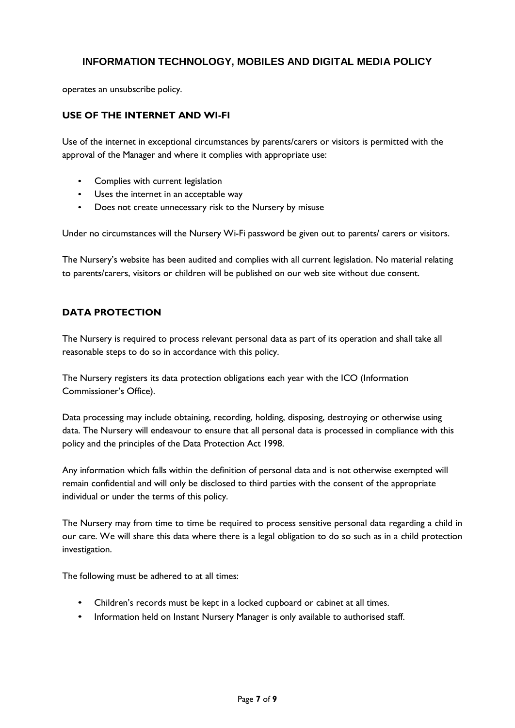operates an unsubscribe policy.

#### **USE OF THE INTERNET AND WI-FI**

Use of the internet in exceptional circumstances by parents/carers or visitors is permitted with the approval of the Manager and where it complies with appropriate use:

- Complies with current legislation
- Uses the internet in an acceptable way
- Does not create unnecessary risk to the Nursery by misuse

Under no circumstances will the Nursery Wi-Fi password be given out to parents/ carers or visitors.

The Nursery's website has been audited and complies with all current legislation. No material relating to parents/carers, visitors or children will be published on our web site without due consent.

#### **DATA PROTECTION**

The Nursery is required to process relevant personal data as part of its operation and shall take all reasonable steps to do so in accordance with this policy.

The Nursery registers its data protection obligations each year with the ICO (Information Commissioner's Office).

Data processing may include obtaining, recording, holding, disposing, destroying or otherwise using data. The Nursery will endeavour to ensure that all personal data is processed in compliance with this policy and the principles of the Data Protection Act 1998.

Any information which falls within the definition of personal data and is not otherwise exempted will remain confidential and will only be disclosed to third parties with the consent of the appropriate individual or under the terms of this policy.

The Nursery may from time to time be required to process sensitive personal data regarding a child in our care. We will share this data where there is a legal obligation to do so such as in a child protection investigation.

The following must be adhered to at all times:

- Children's records must be kept in a locked cupboard or cabinet at all times.
- Information held on Instant Nursery Manager is only available to authorised staff.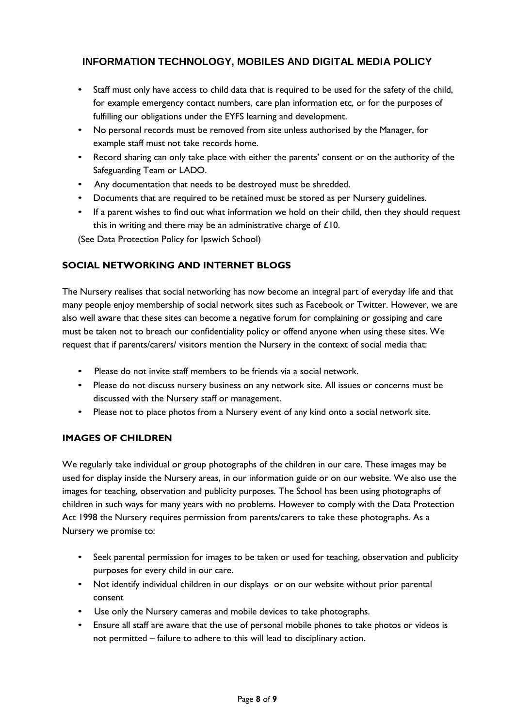- Staff must only have access to child data that is required to be used for the safety of the child, for example emergency contact numbers, care plan information etc, or for the purposes of fulfilling our obligations under the EYFS learning and development.
- No personal records must be removed from site unless authorised by the Manager, for example staff must not take records home.
- Record sharing can only take place with either the parents' consent or on the authority of the Safeguarding Team or LADO.
- Any documentation that needs to be destroyed must be shredded.
- Documents that are required to be retained must be stored as per Nursery guidelines.
- If a parent wishes to find out what information we hold on their child, then they should request this in writing and there may be an administrative charge of £10.

(See Data Protection Policy for Ipswich School)

#### **SOCIAL NETWORKING AND INTERNET BLOGS**

The Nursery realises that social networking has now become an integral part of everyday life and that many people enjoy membership of social network sites such as Facebook or Twitter. However, we are also well aware that these sites can become a negative forum for complaining or gossiping and care must be taken not to breach our confidentiality policy or offend anyone when using these sites. We request that if parents/carers/ visitors mention the Nursery in the context of social media that:

- Please do not invite staff members to be friends via a social network.
- Please do not discuss nursery business on any network site. All issues or concerns must be discussed with the Nursery staff or management.
- Please not to place photos from a Nursery event of any kind onto a social network site.

#### **IMAGES OF CHILDREN**

We regularly take individual or group photographs of the children in our care. These images may be used for display inside the Nursery areas, in our information guide or on our website. We also use the images for teaching, observation and publicity purposes. The School has been using photographs of children in such ways for many years with no problems. However to comply with the Data Protection Act 1998 the Nursery requires permission from parents/carers to take these photographs. As a Nursery we promise to:

- Seek parental permission for images to be taken or used for teaching, observation and publicity purposes for every child in our care.
- Not identify individual children in our displays or on our website without prior parental consent
- Use only the Nursery cameras and mobile devices to take photographs.
- Ensure all staff are aware that the use of personal mobile phones to take photos or videos is not permitted – failure to adhere to this will lead to disciplinary action.